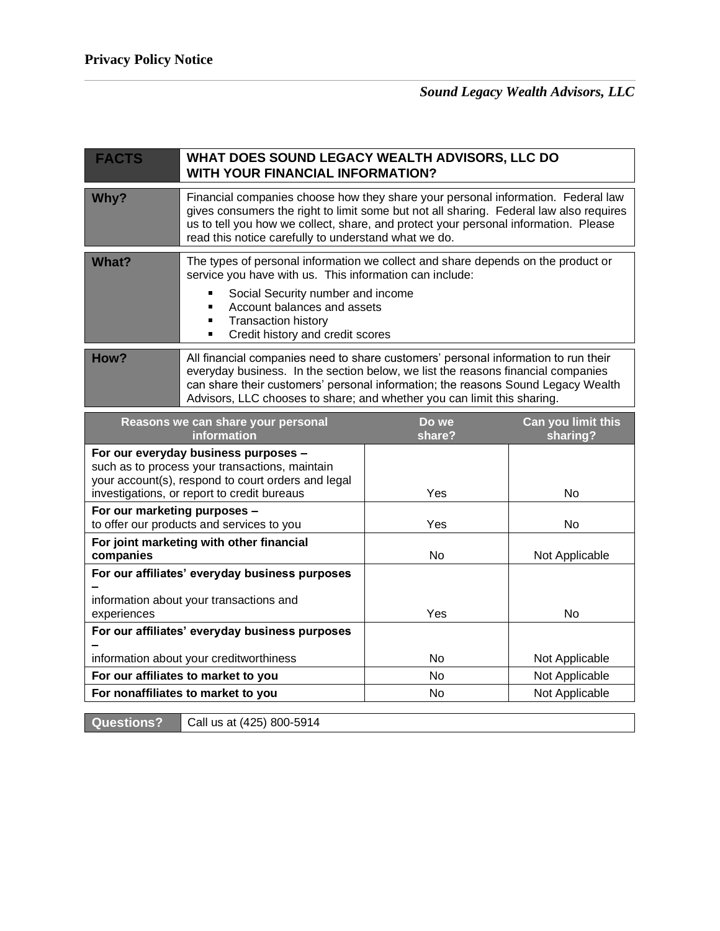| <b>FACTS</b>                                                                                                                                                                                | WHAT DOES SOUND LEGACY WEALTH ADVISORS, LLC DO<br><b>WITH YOUR FINANCIAL INFORMATION?</b>                                                                                                                                                                                                                                             |                 |                                |
|---------------------------------------------------------------------------------------------------------------------------------------------------------------------------------------------|---------------------------------------------------------------------------------------------------------------------------------------------------------------------------------------------------------------------------------------------------------------------------------------------------------------------------------------|-----------------|--------------------------------|
| Why?                                                                                                                                                                                        | Financial companies choose how they share your personal information. Federal law<br>gives consumers the right to limit some but not all sharing. Federal law also requires<br>us to tell you how we collect, share, and protect your personal information. Please<br>read this notice carefully to understand what we do.             |                 |                                |
| <b>What?</b>                                                                                                                                                                                | The types of personal information we collect and share depends on the product or<br>service you have with us. This information can include:<br>Social Security number and income<br>Account balances and assets<br>П<br><b>Transaction history</b><br>Credit history and credit scores<br>٠                                           |                 |                                |
| How?                                                                                                                                                                                        | All financial companies need to share customers' personal information to run their<br>everyday business. In the section below, we list the reasons financial companies<br>can share their customers' personal information; the reasons Sound Legacy Wealth<br>Advisors, LLC chooses to share; and whether you can limit this sharing. |                 |                                |
| Reasons we can share your personal<br>information                                                                                                                                           |                                                                                                                                                                                                                                                                                                                                       | Do we<br>share? | Can you limit this<br>sharing? |
| For our everyday business purposes -<br>such as to process your transactions, maintain<br>your account(s), respond to court orders and legal<br>investigations, or report to credit bureaus |                                                                                                                                                                                                                                                                                                                                       | Yes             | <b>No</b>                      |
| For our marketing purposes -                                                                                                                                                                | to offer our products and services to you                                                                                                                                                                                                                                                                                             | Yes             | No                             |
| For joint marketing with other financial<br>companies                                                                                                                                       |                                                                                                                                                                                                                                                                                                                                       | <b>No</b>       | Not Applicable                 |
| For our affiliates' everyday business purposes<br>information about your transactions and<br>experiences                                                                                    |                                                                                                                                                                                                                                                                                                                                       | Yes             | <b>No</b>                      |
| For our affiliates' everyday business purposes                                                                                                                                              |                                                                                                                                                                                                                                                                                                                                       |                 |                                |
| information about your creditworthiness                                                                                                                                                     |                                                                                                                                                                                                                                                                                                                                       | <b>No</b>       | Not Applicable                 |
| For our affiliates to market to you                                                                                                                                                         |                                                                                                                                                                                                                                                                                                                                       | No              | Not Applicable                 |
| For nonaffiliates to market to you                                                                                                                                                          |                                                                                                                                                                                                                                                                                                                                       | <b>No</b>       | Not Applicable                 |

**Questions?** Call us at (425) 800-5914